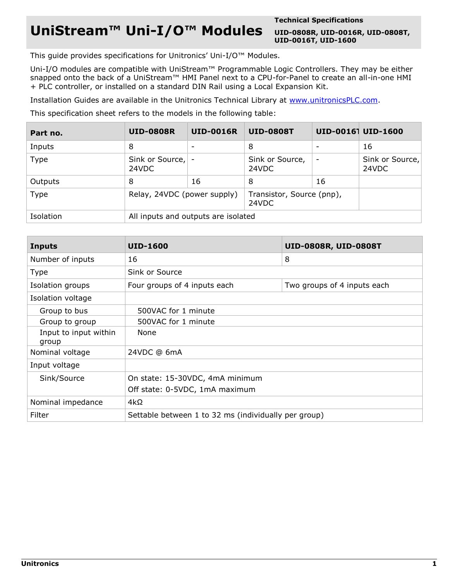## **UniStream™ Uni-I/O™ Modules**

**Technical Specifications**

**UID-0808R, UID-0016R, UID-0808T, UID-0016T, UID-1600**

This guide provides specifications for Unitronics' Uni-I/O™ Modules.

Uni-I/O modules are compatible with UniStream™ Programmable Logic Controllers. They may be either snapped onto the back of a UniStream™ HMI Panel next to a CPU-for-Panel to create an all-in-one HMI + PLC controller, or installed on a standard DIN Rail using a Local Expansion Kit.

Installation Guides are available in the Unitronics Technical Library at [www.unitronicsPLC.com.](http://www.unitronics.com/)

This specification sheet refers to the models in the following table:

| Part no.  | <b>UID-0808R</b>                    | <b>UID-0016R</b> | <b>UID-0808T</b>                   |    | UID-00161 UID-1600       |
|-----------|-------------------------------------|------------------|------------------------------------|----|--------------------------|
| Inputs    | 8                                   |                  | 8                                  |    | 16                       |
| Type      | Sink or Source, -<br>24VDC          |                  | Sink or Source,<br>24VDC           |    | Sink or Source,<br>24VDC |
| Outputs   | 8                                   | 16               | 8                                  | 16 |                          |
| Type      | Relay, 24VDC (power supply)         |                  | Transistor, Source (pnp),<br>24VDC |    |                          |
| Isolation | All inputs and outputs are isolated |                  |                                    |    |                          |

| <b>Inputs</b>                  | <b>UID-1600</b>                                             | UID-0808R, UID-0808T |  |  |  |  |
|--------------------------------|-------------------------------------------------------------|----------------------|--|--|--|--|
| Number of inputs               | 16                                                          | 8                    |  |  |  |  |
| <b>Type</b>                    | Sink or Source                                              |                      |  |  |  |  |
| Isolation groups               | Four groups of 4 inputs each<br>Two groups of 4 inputs each |                      |  |  |  |  |
| Isolation voltage              |                                                             |                      |  |  |  |  |
| Group to bus                   | 500VAC for 1 minute                                         |                      |  |  |  |  |
| Group to group                 | 500VAC for 1 minute                                         |                      |  |  |  |  |
| Input to input within<br>group | None                                                        |                      |  |  |  |  |
| Nominal voltage                | 24VDC @ 6mA                                                 |                      |  |  |  |  |
| Input voltage                  |                                                             |                      |  |  |  |  |
| Sink/Source                    | On state: 15-30VDC, 4mA minimum                             |                      |  |  |  |  |
|                                | Off state: 0-5VDC, 1mA maximum                              |                      |  |  |  |  |
| Nominal impedance              | $4k\Omega$                                                  |                      |  |  |  |  |
| Filter                         | Settable between 1 to 32 ms (individually per group)        |                      |  |  |  |  |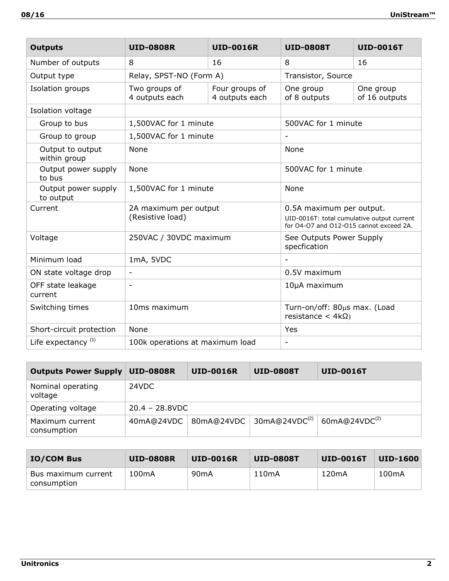| <b>Outputs</b>                   | <b>UID-0808R</b>                          | <b>UID-0016R</b>                 | <b>UID-0808T</b>                                          | <b>UID-0016T</b>                                                                                                  |  |  |
|----------------------------------|-------------------------------------------|----------------------------------|-----------------------------------------------------------|-------------------------------------------------------------------------------------------------------------------|--|--|
| Number of outputs                | 8                                         | 16                               | 8                                                         | 16                                                                                                                |  |  |
| Output type                      | Relay, SPST-NO (Form A)                   |                                  | Transistor, Source                                        |                                                                                                                   |  |  |
| Isolation groups                 | Two groups of<br>4 outputs each           | Four groups of<br>4 outputs each | One group<br>of 8 outputs                                 | One group<br>of 16 outputs                                                                                        |  |  |
| Isolation voltage                |                                           |                                  |                                                           |                                                                                                                   |  |  |
| Group to bus                     | 1,500VAC for 1 minute                     |                                  | 500VAC for 1 minute                                       |                                                                                                                   |  |  |
| Group to group                   | 1,500VAC for 1 minute                     |                                  |                                                           |                                                                                                                   |  |  |
| Output to output<br>within group | None                                      |                                  | None                                                      |                                                                                                                   |  |  |
| Output power supply<br>to bus    | None                                      |                                  | 500VAC for 1 minute                                       |                                                                                                                   |  |  |
| Output power supply<br>to output | 1,500VAC for 1 minute                     |                                  | None                                                      |                                                                                                                   |  |  |
| Current                          | 2A maximum per output<br>(Resistive load) |                                  |                                                           | 0.5A maximum per output.<br>UID-0016T: total cumulative output current<br>for O4-O7 and O12-O15 cannot exceed 2A. |  |  |
| Voltage                          | 250VAC / 30VDC maximum                    |                                  | See Outputs Power Supply<br>specfication                  |                                                                                                                   |  |  |
| Minimum load                     | 1mA, 5VDC                                 |                                  |                                                           |                                                                                                                   |  |  |
| ON state voltage drop            | $\overline{\phantom{a}}$                  |                                  | 0.5V maximum                                              |                                                                                                                   |  |  |
| OFF state leakage<br>current     | $\overline{\phantom{a}}$                  |                                  | 10µA maximum                                              |                                                                                                                   |  |  |
| Switching times                  | 10ms maximum                              |                                  | Turn-on/off: 80µs max. (Load<br>resistance < $4k\Omega$ ) |                                                                                                                   |  |  |
| Short-circuit protection         | None                                      |                                  | Yes                                                       |                                                                                                                   |  |  |
| Life expectancy $(1)$            | 100k operations at maximum load           |                                  | $\overline{\phantom{a}}$                                  |                                                                                                                   |  |  |

| <b>Outputs Power Supply</b>    | <b>UID-0808R</b>  | <b>UID-0016R</b> | <b>UID-0808T</b>                          | <b>UID-0016T</b>          |  |
|--------------------------------|-------------------|------------------|-------------------------------------------|---------------------------|--|
| Nominal operating<br>voltage   | 24VDC             |                  |                                           |                           |  |
| Operating voltage              | $20.4 - 28.8$ VDC |                  |                                           |                           |  |
| Maximum current<br>consumption | 40mA@24VDC        | 80mA@24VDC       | $\frac{1}{2}$ 30mA@24VDC <sup>(2)</sup> + | 60mA@24VDC <sup>(2)</sup> |  |

| <b>IO/COM Bus</b>                  | <b>UID-0808R</b> | <b>UID-0016R</b> | UID-0808T | <b>UID-0016T</b> | <b>UID-1600</b>    |
|------------------------------------|------------------|------------------|-----------|------------------|--------------------|
| Bus maximum current<br>consumption | 100mA            | 90mA             | 110mA     | 120mA            | 100 <sub>m</sub> A |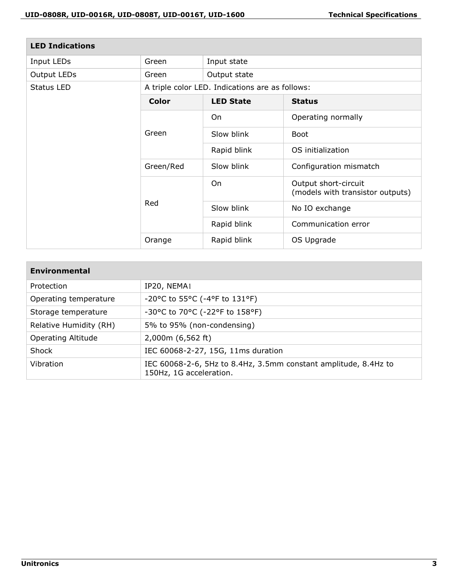| <b>LED Indications</b> |                                                 |                  |                                                          |  |
|------------------------|-------------------------------------------------|------------------|----------------------------------------------------------|--|
| Input LEDs             | Green                                           | Input state      |                                                          |  |
| Output LEDs            | Green                                           | Output state     |                                                          |  |
| Status LED             | A triple color LED. Indications are as follows: |                  |                                                          |  |
|                        | Color                                           | <b>LED State</b> | <b>Status</b>                                            |  |
|                        |                                                 | On               | Operating normally                                       |  |
|                        | Green                                           | Slow blink       | <b>Boot</b>                                              |  |
|                        |                                                 | Rapid blink      | OS initialization                                        |  |
|                        | Green/Red                                       | Slow blink       | Configuration mismatch                                   |  |
|                        | Red                                             | On               | Output short-circuit<br>(models with transistor outputs) |  |
|                        |                                                 | Slow blink       | No IO exchange                                           |  |
|                        |                                                 | Rapid blink      | Communication error                                      |  |
|                        | Orange                                          | Rapid blink      | OS Upgrade                                               |  |

| Environmental             |                                                                                            |
|---------------------------|--------------------------------------------------------------------------------------------|
| Protection                | IP20, NEMA1                                                                                |
| Operating temperature     | -20°C to 55°C (-4°F to 131°F)                                                              |
| Storage temperature       | -30°C to 70°C (-22°F to 158°F)                                                             |
| Relative Humidity (RH)    | 5% to 95% (non-condensing)                                                                 |
| <b>Operating Altitude</b> | 2,000m (6,562 ft)                                                                          |
| Shock                     | IEC 60068-2-27, 15G, 11ms duration                                                         |
| Vibration                 | IEC 60068-2-6, 5Hz to 8.4Hz, 3.5mm constant amplitude, 8.4Hz to<br>150Hz, 1G acceleration. |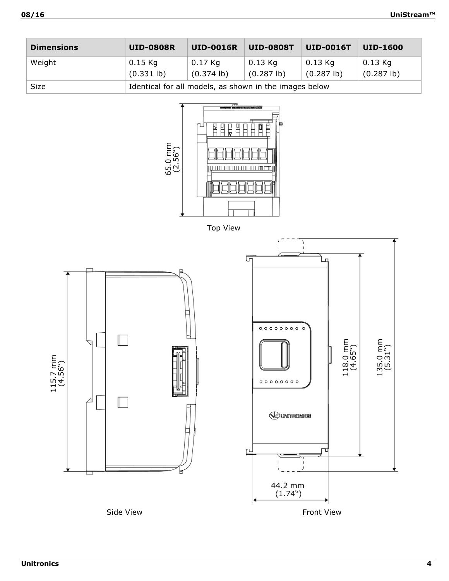| <b>Dimensions</b> | <b>UID-0808R</b>                                       | <b>UID-0016R</b>             | <b>UID-0808T</b>             | <b>UID-0016T</b>             | <b>UID-1600</b>              |  |
|-------------------|--------------------------------------------------------|------------------------------|------------------------------|------------------------------|------------------------------|--|
| Weight            | $0.15$ Kg<br>$(0.331$ lb)                              | $0.17$ Kg<br>$(0.374 \, lb)$ | $0.13$ Kg<br>$(0.287 \, lb)$ | $0.13$ Kg<br>$(0.287 \, lb)$ | $0.13$ Kg<br>$(0.287 \, lb)$ |  |
| Size              | Identical for all models, as shown in the images below |                              |                              |                              |                              |  |